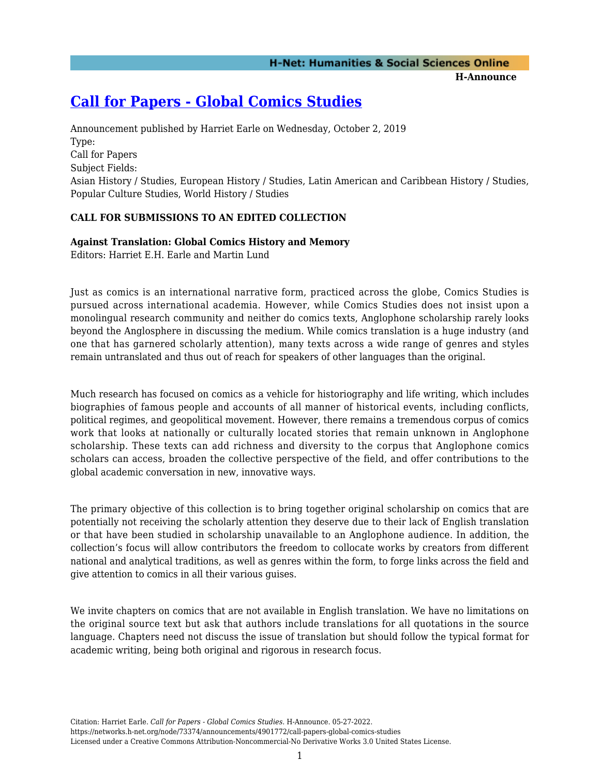# **H-Net: Humanities & Social Sciences Online**

**H-Announce** 

## **[Call for Papers - Global Comics Studies](https://networks.h-net.org/node/73374/announcements/4901772/call-papers-global-comics-studies)**

Announcement published by Harriet Earle on Wednesday, October 2, 2019 Type: Call for Papers Subject Fields: Asian History / Studies, European History / Studies, Latin American and Caribbean History / Studies, Popular Culture Studies, World History / Studies

#### **CALL FOR SUBMISSIONS TO AN EDITED COLLECTION**

#### **Against Translation: Global Comics History and Memory**

Editors: Harriet E.H. Earle and Martin Lund

Just as comics is an international narrative form, practiced across the globe, Comics Studies is pursued across international academia. However, while Comics Studies does not insist upon a monolingual research community and neither do comics texts, Anglophone scholarship rarely looks beyond the Anglosphere in discussing the medium. While comics translation is a huge industry (and one that has garnered scholarly attention), many texts across a wide range of genres and styles remain untranslated and thus out of reach for speakers of other languages than the original.

Much research has focused on comics as a vehicle for historiography and life writing, which includes biographies of famous people and accounts of all manner of historical events, including conflicts, political regimes, and geopolitical movement. However, there remains a tremendous corpus of comics work that looks at nationally or culturally located stories that remain unknown in Anglophone scholarship. These texts can add richness and diversity to the corpus that Anglophone comics scholars can access, broaden the collective perspective of the field, and offer contributions to the global academic conversation in new, innovative ways.

The primary objective of this collection is to bring together original scholarship on comics that are potentially not receiving the scholarly attention they deserve due to their lack of English translation or that have been studied in scholarship unavailable to an Anglophone audience. In addition, the collection's focus will allow contributors the freedom to collocate works by creators from different national and analytical traditions, as well as genres within the form, to forge links across the field and give attention to comics in all their various guises.

We invite chapters on comics that are not available in English translation. We have no limitations on the original source text but ask that authors include translations for all quotations in the source language. Chapters need not discuss the issue of translation but should follow the typical format for academic writing, being both original and rigorous in research focus.